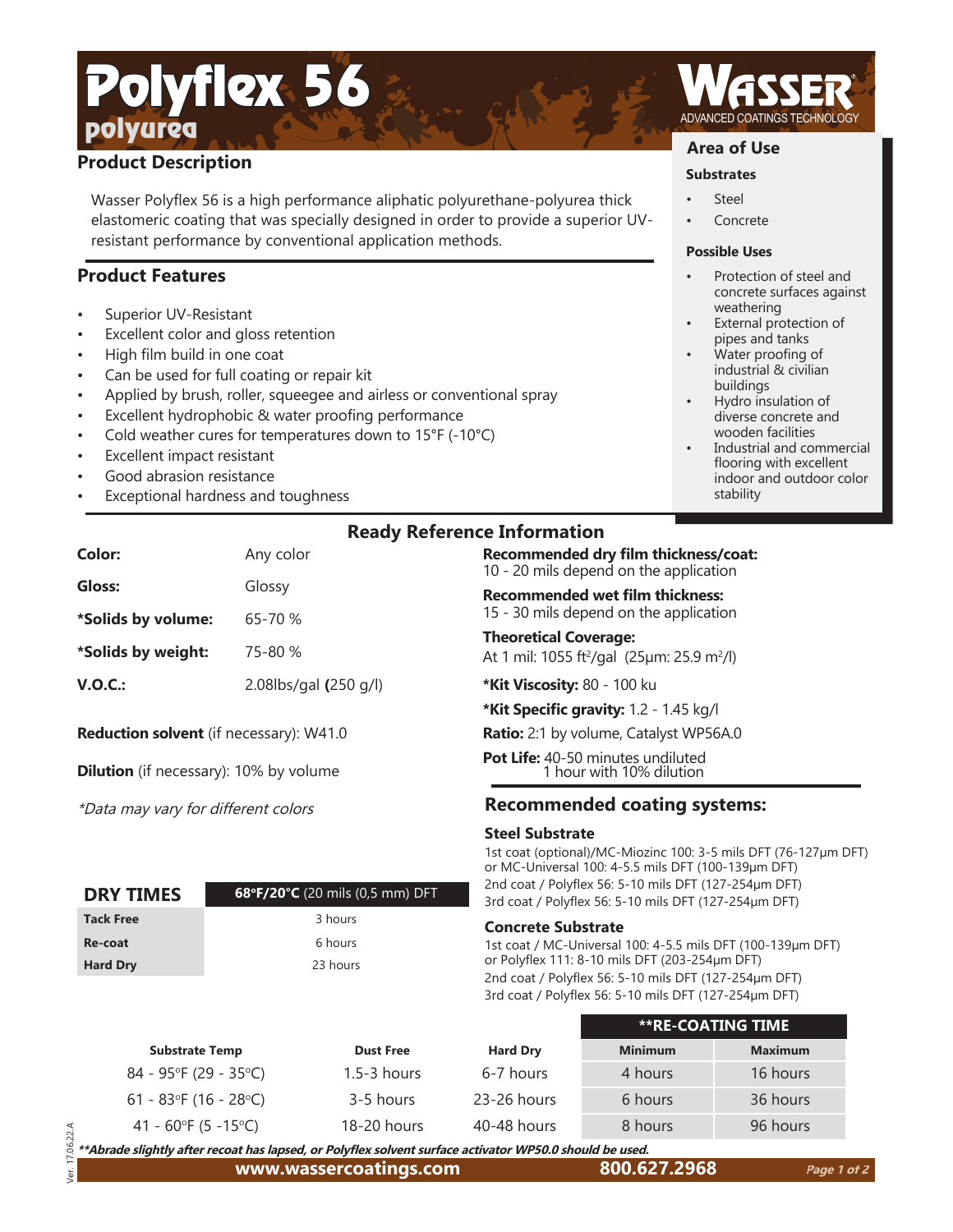## polyurea Polyflex 56

## **Product Description**

Wasser Polyflex 56 is a high performance aliphatic polyurethane-polyurea thick elastomeric coating that was specially designed in order to provide a superior UVresistant performance by conventional application methods.

## **Product Features**

- Superior UV-Resistant
- Excellent color and gloss retention
- High film build in one coat
- Can be used for full coating or repair kit
- Applied by brush, roller, squeegee and airless or conventional spray
- Excellent hydrophobic & water proofing performance
- Cold weather cures for temperatures down to 15°F (-10°C)
- Excellent impact resistant
- Good abrasion resistance
- Exceptional hardness and toughness

| <b>Ready Reference Information</b> |  |
|------------------------------------|--|
|                                    |  |

| Color:             | Any color             |
|--------------------|-----------------------|
| Gloss:             | Glossy                |
| *Solids by volume: | 65-70 %               |
| *Solids by weight: | 75-80 %               |
| V.O.C.:            | 2.08lbs/gal (250 g/l) |

**Reduction solvent** (if necessary): W41.0

**Dilution** (if necessary): 10% by volume

\*Data may vary for different colors

| <b>DRY TIMES</b> | 68°F/20°C (20 mils (0,5 mm) DFT |
|------------------|---------------------------------|
| <b>Tack Free</b> | 3 hours                         |
| Re-coat          | 6 hours                         |
| <b>Hard Dry</b>  | 23 hours                        |

## **Ready Reference Information**

**Recommended dry film thickness/coat:** 10 - 20 mils depend on the application

**Recommended wet film thickness:** 15 - 30 mils depend on the application

**Theoretical Coverage:** At 1 mil: 1055 ft²/gal (25µm: 25.9 m²/l)

**\*Kit Viscosity:** 80 - 100 ku

**\*Kit Specific gravity:** 1.2 - 1.45 kg/l

**Ratio:** 2:1 by volume, Catalyst WP56A.0

**Pot Life:** 40-50 minutes undiluted 1 hour with 10% dilution

## **Recommended coating systems:**

#### **Steel Substrate**

1st coat (optional)/MC-Miozinc 100: 3-5 mils DFT (76-127µm DFT) or MC-Universal 100: 4-5.5 mils DFT (100-139µm DFT) 2nd coat / Polyflex 56: 5-10 mils DFT (127-254µm DFT) 3rd coat / Polyflex 56: 5-10 mils DFT (127-254um DFT)

#### **Concrete Substrate**

1st coat / MC-Universal 100: 4-5.5 mils DFT (100-139µm DFT) or Polyflex 111: 8-10 mils DFT (203-254um DFT) 2nd coat / Polyflex 56: 5-10 mils DFT (127-254um DFT) 3rd coat / Polyflex 56: 5-10 mils DFT (127-254µm DFT)

|                          |                  |                 |                | <b>**RE-COATING TIME</b> |
|--------------------------|------------------|-----------------|----------------|--------------------------|
| <b>Substrate Temp</b>    | <b>Dust Free</b> | <b>Hard Dry</b> | <b>Minimum</b> | <b>Maximum</b>           |
| $84 - 95$ °F (29 - 35°C) | $1.5 - 3$ hours  | 6-7 hours       | 4 hours        | 16 hours                 |
| 61 - 83°F (16 - 28°C)    | 3-5 hours        | 23-26 hours     | 6 hours        | 36 hours                 |
| 41 - 60°F (5 -15°C)      | 18-20 hours      | 40-48 hours     | 8 hours        | 96 hours                 |

 Ver. 17.06.22.A 8 \*\*Abrade slightly after recoat has lapsed, or Polyflex solvent surface activator WP50.0 should be used.  $\overline{a}$ 



### **Area of Use**

- **Substrates Steel**
- **Concrete**

#### **Possible Uses**

- Protection of steel and concrete surfaces against weathering
- External protection of pipes and tanks
- Water proofing of industrial & civilian buildings
- Hydro insulation of diverse concrete and wooden facilities
- Industrial and commercial flooring with excellent indoor and outdoor color stability